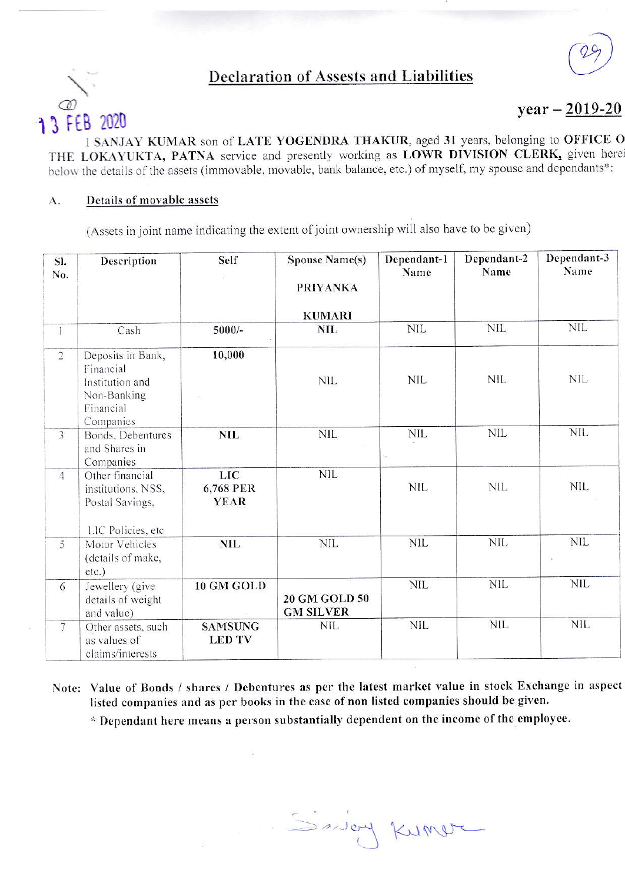## **Declaration of Assests and Liabilities**



 $year - 2019-20$ 

I SANJAY KUMAR son of LATE YOGENDRA THAKUR, aged 31 years, belonging to OFFICE O THE LOKAYUKTA, PATNA service and presently working as LOWR DIVISION CLERK, given here below the details of the assets (immovable, movable, bank balance, etc.) of myself, my spouse and dependants\*:

## Details of movable assets A.

(Assets in joint name indicating the extent of joint ownership will also have to be given)

| SI.<br>No.      | Description                                                                                | Self                            | <b>Spouse Name(s)</b><br><b>PRIYANKA</b><br><b>KUMARI</b> | Dependant-1<br>Name | Dependant-2<br>Name | Dependant-3<br>Name |
|-----------------|--------------------------------------------------------------------------------------------|---------------------------------|-----------------------------------------------------------|---------------------|---------------------|---------------------|
| $\mathbf{1}$    | Cash                                                                                       | $5000/-$                        | <b>NIL</b>                                                | $\text{NIL}$        | <b>NIL</b>          | <b>NIL</b>          |
| $\sqrt{2}$      | Deposits in Bank,<br>Financial<br>Institution and<br>Non-Banking<br>Financial<br>Companies | 10,000                          | <b>NIL</b>                                                | <b>NIL</b>          | <b>NIL</b>          | <b>NIL</b>          |
| 3               | Bonds, Debentures<br>and Shares in<br>Companies                                            | <b>NIL</b>                      | <b>NIL</b>                                                | NIL                 | <b>NIL</b>          | <b>NIL</b>          |
| $\overline{4}$  | Other financial<br>institutions, NSS,<br>Postal Savings,<br>LIC Policies, etc.             | LIC<br>6,768 PER<br><b>YEAR</b> | <b>NIL</b>                                                | <b>NIL</b>          | <b>NIL</b>          | <b>NIL</b>          |
| 5               | Motor Vehicles<br>(details of make,<br>$etc.$ )                                            | <b>NIL</b>                      | $\rm NIL$                                                 | NIL                 | $NIL$               | <b>NIL</b>          |
| 6               | Jewellery (give<br>details of weight<br>and value)                                         | 10 GM GOLD                      | 20 GM GOLD 50<br><b>GM SILVER</b>                         | <b>NIL</b>          | <b>NIL</b>          | <b>NIL</b>          |
| $7\overline{ }$ | Other assets, such<br>as values of<br>claims/interests                                     | <b>SAMSUNG</b><br><b>LED TV</b> | <b>NIL</b>                                                | <b>NIL</b>          | <b>NIL</b>          | <b>NIL</b>          |

Note: Value of Bonds / shares / Debentures as per the latest market value in stock Exchange in aspect listed companies and as per books in the case of non listed companies should be given.

\* Dependant here means a person substantially dependent on the income of the employee.

Savey Kumer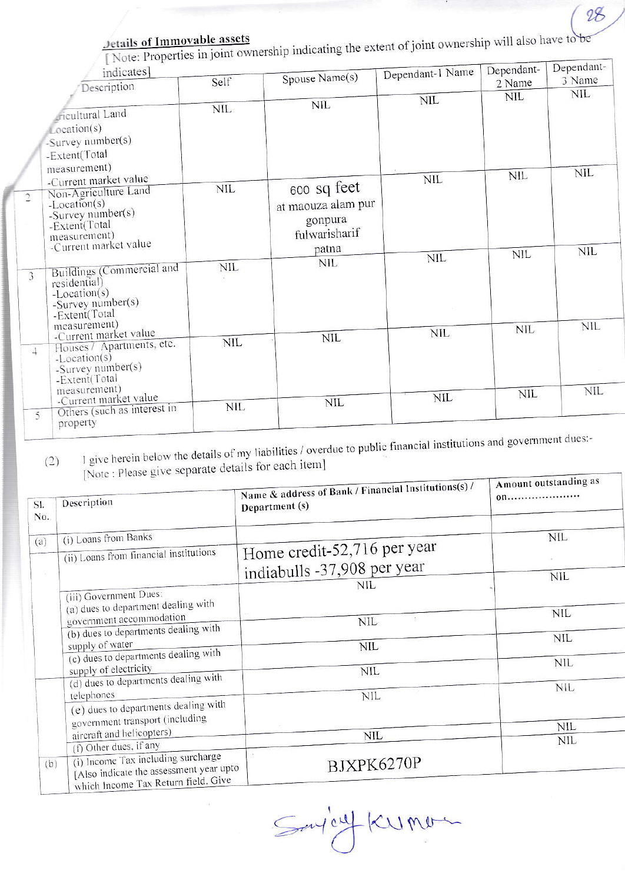[Note: Properties in joint ownership indicating the extent of joint ownership will also have to be

28

| 2 Name     | 3 Name                                 |
|------------|----------------------------------------|
|            |                                        |
| <b>NIL</b> | NIL.                                   |
|            |                                        |
|            |                                        |
|            |                                        |
|            |                                        |
|            | <b>NIL</b>                             |
|            |                                        |
|            |                                        |
|            |                                        |
|            |                                        |
|            |                                        |
| <b>NIL</b> | <b>NIL</b>                             |
|            |                                        |
|            |                                        |
|            |                                        |
|            |                                        |
|            | <b>NIL</b>                             |
|            |                                        |
|            |                                        |
|            |                                        |
|            |                                        |
|            | <b>NIL</b>                             |
|            |                                        |
|            |                                        |
|            | <b>NIL</b><br><b>NIL</b><br><b>NIL</b> |

I give herein below the details of my liabilities / overdue to public financial institutions and government dues:- $(2)$ [Note : Please give separate details for each item]

| SI.<br>No. | Description                                                                                             | Name & address of Bank / Financial Institutions(s) /<br>Department (s) | Amount outstanding as<br>00 |
|------------|---------------------------------------------------------------------------------------------------------|------------------------------------------------------------------------|-----------------------------|
| (a)        | (i) Loans from Banks<br>(ii) Loans from financial institutions                                          | Home credit-52,716 per year                                            | nil                         |
|            | (iii) Government Dues:                                                                                  | indiabulls -37,908 per year<br>NIL                                     | <b>NIL</b>                  |
|            | (a) dues to department dealing with<br>government accommodation<br>(b) dues to departments dealing with | <b>NIL</b>                                                             | <b>NIL</b>                  |
|            | supply of water<br>(c) dues to departments dealing with                                                 | <b>NIL</b>                                                             | <b>NIL</b><br><b>NIL</b>    |
|            | supply of electricity<br>(d) dues to departments dealing with<br>telephones                             | <b>NIL</b><br><b>NIL</b>                                               | NIL                         |
|            | (e) dues to departments dealing with<br>government transport (including<br>aircraft and helicopters)    |                                                                        | NIL                         |
| (b)        | (f) Other dues, if any<br>(i) Income Tax including surcharge                                            | NIL<br>BJXPK6270P                                                      | NIL                         |
|            | [Also indicate the assessment year upto<br>which Income Tax Return field. Give                          |                                                                        |                             |

Say'enf Kumon